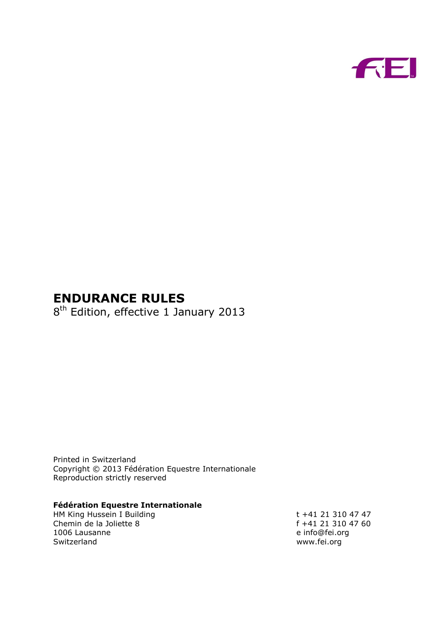

# **ENDURANCE RULES**

8<sup>th</sup> Edition, effective 1 January 2013

Printed in Switzerland Copyright © 2013 Fédération Equestre Internationale Reproduction strictly reserved

#### **Fédération Equestre Internationale**

HM King Hussein I Building t +41 21 310 47 47 Chemin de la Joliette 8 f +41 21 310 47 60<br>1006 Lausanne e info@fei.org 1006 Lausanne Switzerland www.fei.org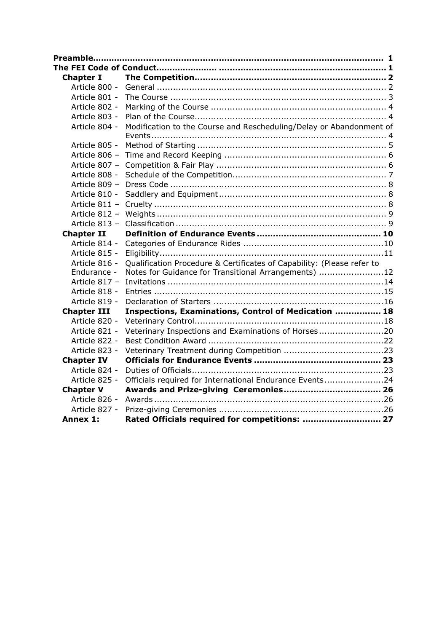| <b>Chapter I</b>   |                                                                        |  |
|--------------------|------------------------------------------------------------------------|--|
| Article 800 -      |                                                                        |  |
| Article 801 -      |                                                                        |  |
| Article 802 -      |                                                                        |  |
| Article 803 -      |                                                                        |  |
| Article 804 -      | Modification to the Course and Rescheduling/Delay or Abandonment of    |  |
|                    |                                                                        |  |
| Article 805 -      |                                                                        |  |
| Article 806 -      |                                                                        |  |
| Article 807 -      |                                                                        |  |
| Article 808 -      |                                                                        |  |
| Article 809 -      |                                                                        |  |
| Article 810 -      |                                                                        |  |
| Article 811 -      |                                                                        |  |
| Article 812 -      |                                                                        |  |
| Article 813 -      |                                                                        |  |
| <b>Chapter II</b>  |                                                                        |  |
| Article 814 -      |                                                                        |  |
| Article 815 -      |                                                                        |  |
| Article 816 -      | Qualification Procedure & Certificates of Capability: (Please refer to |  |
| Endurance -        | Notes for Guidance for Transitional Arrangements) 12                   |  |
| Article 817 -      |                                                                        |  |
| Article 818 -      |                                                                        |  |
| Article 819 -      |                                                                        |  |
| <b>Chapter III</b> | Inspections, Examinations, Control of Medication  18                   |  |
| Article 820 -      |                                                                        |  |
| Article 821 -      | Veterinary Inspections and Examinations of Horses20                    |  |
| Article 822 -      |                                                                        |  |
| Article 823 -      |                                                                        |  |
| <b>Chapter IV</b>  |                                                                        |  |
| Article 824 -      |                                                                        |  |
| Article 825 -      | Officials required for International Endurance Events24                |  |
| <b>Chapter V</b>   |                                                                        |  |
| Article 826 -      |                                                                        |  |
| Article 827 -      |                                                                        |  |
| Annex 1:           | Rated Officials required for competitions:  27                         |  |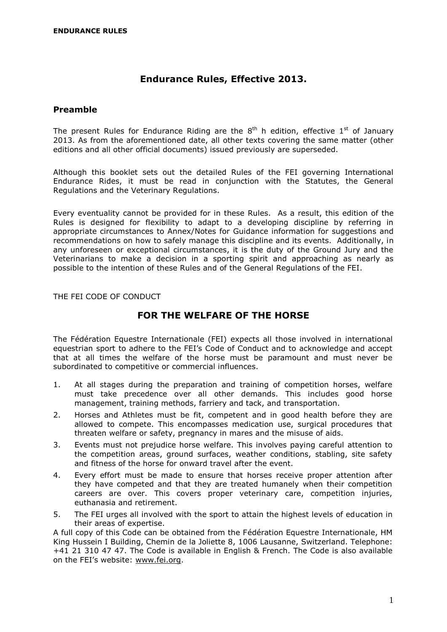## **Endurance Rules, Effective 2013.**

#### <span id="page-2-0"></span>**Preamble**

The present Rules for Endurance Riding are the  $8^{\text{th}}$  h edition, effective  $1^{\text{st}}$  of January 2013. As from the aforementioned date, all other texts covering the same matter (other editions and all other official documents) issued previously are superseded.

Although this booklet sets out the detailed Rules of the FEI governing International Endurance Rides, it must be read in conjunction with the Statutes, the General Regulations and the Veterinary Regulations.

Every eventuality cannot be provided for in these Rules. As a result, this edition of the Rules is designed for flexibility to adapt to a developing discipline by referring in appropriate circumstances to Annex/Notes for Guidance information for suggestions and recommendations on how to safely manage this discipline and its events. Additionally, in any unforeseen or exceptional circumstances, it is the duty of the Ground Jury and the Veterinarians to make a decision in a sporting spirit and approaching as nearly as possible to the intention of these Rules and of the General Regulations of the FEI.

<span id="page-2-1"></span>THE FEI CODE OF CONDUCT

## **FOR THE WELFARE OF THE HORSE**

The Fédération Equestre Internationale (FEI) expects all those involved in international equestrian sport to adhere to the FEI's Code of Conduct and to acknowledge and accept that at all times the welfare of the horse must be paramount and must never be subordinated to competitive or commercial influences.

- 1. At all stages during the preparation and training of competition horses, welfare must take precedence over all other demands. This includes good horse management, training methods, farriery and tack, and transportation.
- 2. Horses and Athletes must be fit, competent and in good health before they are allowed to compete. This encompasses medication use, surgical procedures that threaten welfare or safety, pregnancy in mares and the misuse of aids.
- 3. Events must not prejudice horse welfare. This involves paying careful attention to the competition areas, ground surfaces, weather conditions, stabling, site safety and fitness of the horse for onward travel after the event.
- 4. Every effort must be made to ensure that horses receive proper attention after they have competed and that they are treated humanely when their competition careers are over. This covers proper veterinary care, competition injuries, euthanasia and retirement.
- 5. The FEI urges all involved with the sport to attain the highest levels of education in their areas of expertise.

A full copy of this Code can be obtained from the Fédération Equestre Internationale, HM King Hussein I Building, Chemin de la Joliette 8, 1006 Lausanne, Switzerland. Telephone: +41 21 310 47 47. The Code is available in English & French. The Code is also available on the FEI's website: [www.fei.org.](http://www.fei.org/)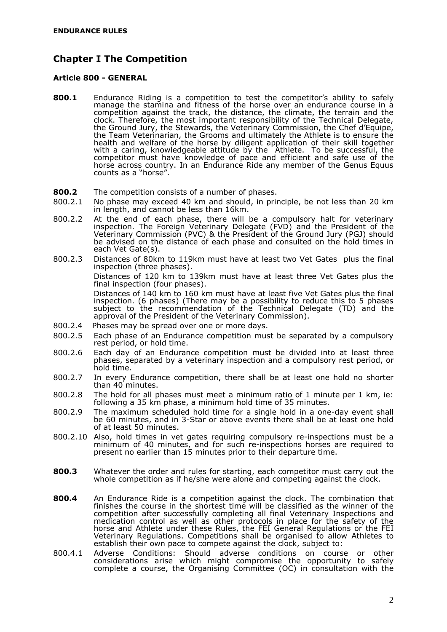## <span id="page-3-0"></span>**Chapter I The Competition**

#### <span id="page-3-1"></span>**Article 800 - GENERAL**

- **800.1** Endurance Riding is a competition to test the competitor's ability to safely manage the stamina and fitness of the horse over an endurance course in a competition against the track, the distance, the climate, the terrain and the clock. Therefore, the most important responsibility of the Technical Delegate, the Ground Jury, the Stewards, the Veterinary Commission, the Chef d'Equipe, the Team Veterinarian, the Grooms and ultimately the Athlete is to ensure the health and welfare of the horse by diligent application of their skill together with a caring, knowledgeable attitude by the Athlete. To be successful, the competitor must have knowledge of pace and efficient and safe use of the horse across country. In an Endurance Ride any member of the Genus Equus counts as a "horse".
- **800.2** The competition consists of a number of phases.
- 800.2.1 No phase may exceed 40 km and should, in principle, be not less than 20 km in length, and cannot be less than 16km.
- 800.2.2 At the end of each phase, there will be a compulsory halt for veterinary inspection. The Foreign Veterinary Delegate (FVD) and the President of the Veterinary Commission (PVC) & the President of the Ground Jury (PGJ) should be advised on the distance of each phase and consulted on the hold times in each Vet Gate(s).
- 800.2.3 Distances of 80km to 119km must have at least two Vet Gates plus the final inspection (three phases).

Distances of 120 km to 139km must have at least three Vet Gates plus the final inspection (four phases).

Distances of 140 km to 160 km must have at least five Vet Gates plus the final inspection. (6 phases) (There may be a possibility to reduce this to 5 phases subject to the recommendation of the Technical Delegate (TD) and the approval of the President of the Veterinary Commission).

- 800.2.4 Phases may be spread over one or more days.
- 800.2.5 Each phase of an Endurance competition must be separated by a compulsory rest period, or hold time.
- 800.2.6 Each day of an Endurance competition must be divided into at least three phases, separated by a veterinary inspection and a compulsory rest period, or hold time.
- 800.2.7 In every Endurance competition, there shall be at least one hold no shorter than 40 minutes.
- 800.2.8 The hold for all phases must meet a minimum ratio of 1 minute per 1 km, ie: following a 35 km phase, a minimum hold time of 35 minutes.
- 800.2.9 The maximum scheduled hold time for a single hold in a one-day event shall be 60 minutes, and in 3-Star or above events there shall be at least one hold of at least 50 minutes.
- 800.2.10 Also, hold times in vet gates requiring compulsory re-inspections must be a minimum of 40 minutes, and for such re-inspections horses are required to present no earlier than 15 minutes prior to their departure time.
- **800.3** Whatever the order and rules for starting, each competitor must carry out the whole competition as if he/she were alone and competing against the clock.
- **800.4** An Endurance Ride is a competition against the clock. The combination that finishes the course in the shortest time will be classified as the winner of the competition after successfully completing all final Veterinary Inspections and medication control as well as other protocols in place for the safety of the horse and Athlete under these Rules, the FEI General Regulations or the FEI Veterinary Regulations. Competitions shall be organised to allow Athletes to establish their own pace to compete against the clock, subject to:
- 800.4.1 Adverse Conditions: Should adverse conditions on course or other considerations arise which might compromise the opportunity to safely complete a course, the Organising Committee (OC) in consultation with the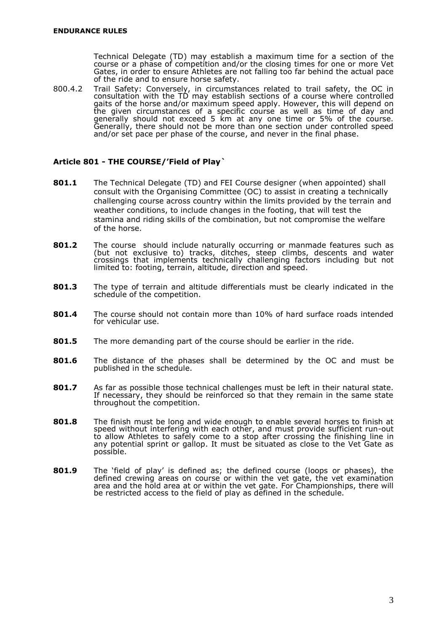Technical Delegate (TD) may establish a maximum time for a section of the course or a phase of competition and/or the closing times for one or more Vet Gates, in order to ensure Athletes are not falling too far behind the actual pace of the ride and to ensure horse safety.

800.4.2 Trail Safety: Conversely, in circumstances related to trail safety, the OC in consultation with the TD may establish sections of a course where controlled gaits of the horse and/or maximum speed apply. However, this will depend on the given circumstances of a specific course as well as time of day and generally should not exceed 5 km at any one time or 5% of the course. Generally, there should not be more than one section under controlled speed and/or set pace per phase of the course, and never in the final phase.

#### <span id="page-4-0"></span>**Article 801 - THE COURSE/'Field of Play`**

- **801.1** The Technical Delegate (TD) and FEI Course designer (when appointed) shall consult with the Organising Committee (OC) to assist in creating a technically challenging course across country within the limits provided by the terrain and weather conditions, to include changes in the footing, that will test the stamina and riding skills of the combination, but not compromise the welfare of the horse.
- **801.2** The course should include naturally occurring or manmade features such as (but not exclusive to) tracks, ditches, steep climbs, descents and water crossings that implements technically challenging factors including but not limited to: footing, terrain, altitude, direction and speed.
- **801.3** The type of terrain and altitude differentials must be clearly indicated in the schedule of the competition.
- **801.4** The course should not contain more than 10% of hard surface roads intended for vehicular use.
- **801.5** The more demanding part of the course should be earlier in the ride.
- **801.6** The distance of the phases shall be determined by the OC and must be published in the schedule.
- **801.7** As far as possible those technical challenges must be left in their natural state. If necessary, they should be reinforced so that they remain in the same state throughout the competition.
- **801.8** The finish must be long and wide enough to enable several horses to finish at speed without interfering with each other, and must provide sufficient run-out to allow Athletes to safely come to a stop after crossing the finishing line in any potential sprint or gallop. It must be situated as close to the Vet Gate as possible.
- <span id="page-4-1"></span>**801.9** The 'field of play' is defined as; the defined course (loops or phases), the defined crewing areas on course or within the vet gate, the vet examination area and the hold area at or within the vet gate. For Championships, there will be restricted access to the field of play as defined in the schedule.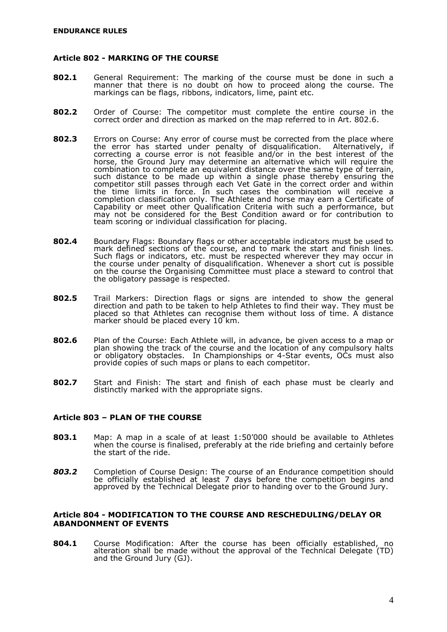#### **Article 802 - MARKING OF THE COURSE**

- **802.1** General Requirement: The marking of the course must be done in such a manner that there is no doubt on how to proceed along the course. The markings can be flags, ribbons, indicators, lime, paint etc.
- **802.2** Order of Course: The competitor must complete the entire course in the correct order and direction as marked on the map referred to in Art. 802.6.
- **802.3** Errors on Course: Any error of course must be corrected from the place where the error has started under penalty of disqualification. Alternatively, if correcting a course error is not feasible and/or in the best interest of the horse, the Ground Jury may determine an alternative which will require the combination to complete an equivalent distance over the same type of terrain, such distance to be made up within a single phase thereby ensuring the competitor still passes through each Vet Gate in the correct order and within the time limits in force. In such cases the combination will receive a completion classification only. The Athlete and horse may earn a Certificate of Capability or meet other Qualification Criteria with such a performance, but may not be considered for the Best Condition award or for contribution to team scoring or individual classification for placing.
- **802.4** Boundary Flags: Boundary flags or other acceptable indicators must be used to mark defined sections of the course, and to mark the start and finish lines. Such flags or indicators, etc. must be respected wherever they may occur in the course under penalty of disqualification. Whenever a short cut is possible on the course the Organising Committee must place a steward to control that the obligatory passage is respected.
- **802.5** Trail Markers: Direction flags or signs are intended to show the general direction and path to be taken to help Athletes to find their way. They must be placed so that Athletes can recognise them without loss of time. A distance marker should be placed every 10 km.
- **802.6** Plan of the Course: Each Athlete will, in advance, be given access to a map or plan showing the track of the course and the location of any compulsory halts or obligatory obstacles. In Championships or 4-Star events, OCs must also provide copies of such maps or plans to each competitor.
- **802.7** Start and Finish: The start and finish of each phase must be clearly and distinctly marked with the appropriate signs.

#### <span id="page-5-0"></span>**Article 803 – PLAN OF THE COURSE**

- **803.1** Map: A map in a scale of at least 1:50'000 should be available to Athletes when the course is finalised, preferably at the ride briefing and certainly before the start of the ride.
- *803.2* Completion of Course Design: The course of an Endurance competition should be officially established at least 7 days before the competition begins and approved by the Technical Delegate prior to handing over to the Ground Jury.

#### <span id="page-5-1"></span>**Article 804 - MODIFICATION TO THE COURSE AND RESCHEDULING/DELAY OR ABANDONMENT OF EVENTS**

**804.1** Course Modification: After the course has been officially established, no alteration shall be made without the approval of the Technical Delegate (TD) and the Ground Jury (GJ).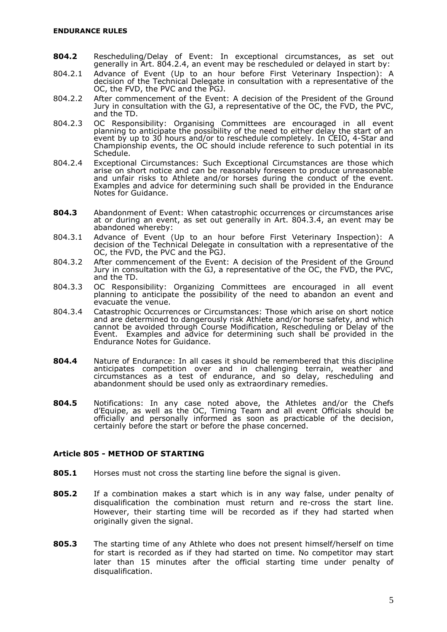- **804.2** Rescheduling/Delay of Event: In exceptional circumstances, as set out generally in Art. 804.2.4, an event may be rescheduled or delayed in start by:
- 804.2.1 Advance of Event (Up to an hour before First Veterinary Inspection): A decision of the Technical Delegate in consultation with a representative of the OC, the FVD, the PVC and the PGJ.
- 804.2.2 After commencement of the Event: A decision of the President of the Ground Jury in consultation with the GJ, a representative of the OC, the FVD, the PVC, and the TD.
- 804.2.3 OC Responsibility: Organising Committees are encouraged in all event planning to anticipate the possibility of the need to either delay the start of an event by up to 30 hours and/or to reschedule completely. In CEIO, 4-Star and Championship events, the OC should include reference to such potential in its Schedule.
- 804.2.4 Exceptional Circumstances: Such Exceptional Circumstances are those which arise on short notice and can be reasonably foreseen to produce unreasonable and unfair risks to Athlete and/or horses during the conduct of the event. Examples and advice for determining such shall be provided in the Endurance Notes for Guidance.
- **804.3** Abandonment of Event: When catastrophic occurrences or circumstances arise at or during an event, as set out generally in Art. 804.3.4, an event may be abandoned whereby:
- 804.3.1 Advance of Event (Up to an hour before First Veterinary Inspection): A decision of the Technical Delegate in consultation with a representative of the OC, the FVD, the PVC and the PGJ.
- 804.3.2 After commencement of the Event: A decision of the President of the Ground Jury in consultation with the GJ, a representative of the OC, the FVD, the PVC, and the TD.
- 804.3.3 OC Responsibility: Organizing Committees are encouraged in all event planning to anticipate the possibility of the need to abandon an event and evacuate the venue.
- 804.3.4 Catastrophic Occurrences or Circumstances: Those which arise on short notice and are determined to dangerously risk Athlete and/or horse safety, and which cannot be avoided through Course Modification, Rescheduling or Delay of the Event. Examples and advice for determining such shall be provided in the Endurance Notes for Guidance.
- **804.4** Nature of Endurance: In all cases it should be remembered that this discipline anticipates competition over and in challenging terrain, weather and circumstances as a test of endurance, and so delay, rescheduling and abandonment should be used only as extraordinary remedies.
- **804.5** Notifications: In any case noted above, the Athletes and/or the Chefs d'Equipe, as well as the OC, Timing Team and all event Officials should be officially and personally informed as soon as practicable of the decision, certainly before the start or before the phase concerned.

#### <span id="page-6-0"></span>**Article 805 - METHOD OF STARTING**

- **805.1** Horses must not cross the starting line before the signal is given.
- **805.2** If a combination makes a start which is in any way false, under penalty of disqualification the combination must return and re-cross the start line. However, their starting time will be recorded as if they had started when originally given the signal.
- **805.3** The starting time of any Athlete who does not present himself/herself on time for start is recorded as if they had started on time. No competitor may start later than 15 minutes after the official starting time under penalty of disqualification.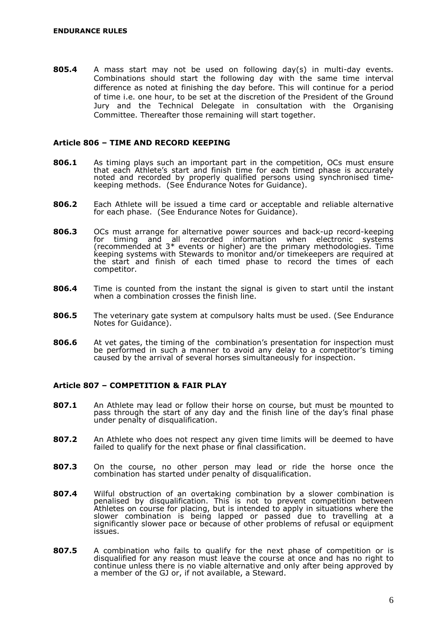**805.4** A mass start may not be used on following day(s) in multi-day events. Combinations should start the following day with the same time interval difference as noted at finishing the day before. This will continue for a period of time i.e. one hour, to be set at the discretion of the President of the Ground Jury and the Technical Delegate in consultation with the Organising Committee. Thereafter those remaining will start together.

#### <span id="page-7-0"></span>**Article 806 – TIME AND RECORD KEEPING**

- **806.1** As timing plays such an important part in the competition, OCs must ensure that each Athlete's start and finish time for each timed phase is accurately noted and recorded by properly qualified persons using synchronised timekeeping methods. (See Endurance Notes for Guidance).
- **806.2** Each Athlete will be issued a time card or acceptable and reliable alternative for each phase. (See Endurance Notes for Guidance).
- **806.3** OCs must arrange for alternative power sources and back-up record-keeping for timing and all recorded information when electronic systems for timing and all recorded information when electronic systems (recommended at 3\* events or higher) are the primary methodologies. Time keeping systems with Stewards to monitor and/or timekeepers are required at the start and finish of each timed phase to record the times of each competitor.
- **806.4** Time is counted from the instant the signal is given to start until the instant when a combination crosses the finish line.
- **806.5** The veterinary gate system at compulsory halts must be used. (See Endurance Notes for Guidance).
- **806.6** At vet gates, the timing of the combination's presentation for inspection must be performed in such a manner to avoid any delay to a competitor's timing caused by the arrival of several horses simultaneously for inspection.

#### <span id="page-7-1"></span>**Article 807 – COMPETITION & FAIR PLAY**

- **807.1** An Athlete may lead or follow their horse on course, but must be mounted to pass through the start of any day and the finish line of the day's final phase under penalty of disqualification.
- **807.2** An Athlete who does not respect any given time limits will be deemed to have failed to qualify for the next phase or final classification.
- **807.3** On the course, no other person may lead or ride the horse once the combination has started under penalty of disqualification.
- **807.4** Wilful obstruction of an overtaking combination by a slower combination is penalised by disqualification. This is not to prevent competition between Athletes on course for placing, but is intended to apply in situations where the slower combination is being lapped or passed due to travelling at a significantly slower pace or because of other problems of refusal or equipment issues.
- **807.5** A combination who fails to qualify for the next phase of competition or is disqualified for any reason must leave the course at once and has no right to continue unless there is no viable alternative and only after being approved by a member of the GJ or, if not available, a Steward.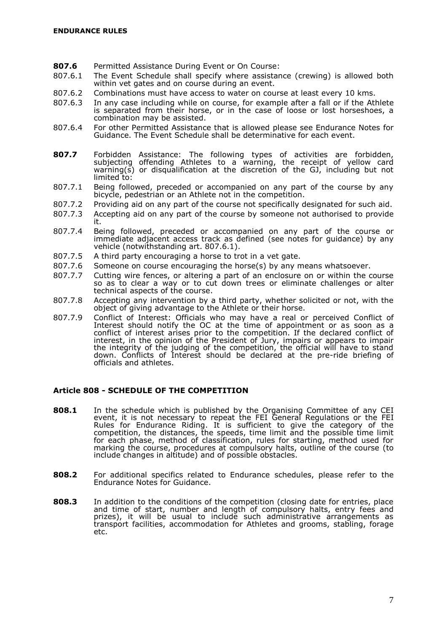- **807.6** Permitted Assistance During Event or On Course:
- 807.6.1 The Event Schedule shall specify where assistance (crewing) is allowed both within vet gates and on course during an event.
- 807.6.2 Combinations must have access to water on course at least every 10 kms.
- 807.6.3 In any case including while on course, for example after a fall or if the Athlete is separated from their horse, or in the case of loose or lost horseshoes, a combination may be assisted.
- 807.6.4 For other Permitted Assistance that is allowed please see Endurance Notes for Guidance. The Event Schedule shall be determinative for each event.
- **807.7** Forbidden Assistance: The following types of activities are forbidden, subjecting offending Athletes to a warning, the receipt of yellow card warning(s) or disqualification at the discretion of the GJ, including but not limited to:
- 807.7.1 Being followed, preceded or accompanied on any part of the course by any bicycle, pedestrian or an Athlete not in the competition.
- 807.7.2 Providing aid on any part of the course not specifically designated for such aid.
- 807.7.3 Accepting aid on any part of the course by someone not authorised to provide it.
- 807.7.4 Being followed, preceded or accompanied on any part of the course or immediate adjacent access track as defined (see notes for guidance) by any vehicle (notwithstanding art. 807.6.1).
- 807.7.5 A third party encouraging a horse to trot in a vet gate.
- 807.7.6 Someone on course encouraging the horse(s) by any means whatsoever.
- 807.7.7 Cutting wire fences, or altering a part of an enclosure on or within the course so as to clear a way or to cut down trees or eliminate challenges or alter technical aspects of the course.
- 807.7.8 Accepting any intervention by a third party, whether solicited or not, with the object of giving advantage to the Athlete or their horse.
- 807.7.9 Conflict of Interest: Officials who may have a real or perceived Conflict of Interest should notify the OC at the time of appointment or as soon as a conflict of interest arises prior to the competition. If the declared conflict of interest, in the opinion of the President of Jury, impairs or appears to impair the integrity of the judging of the competition, the official will have to stand down. Conflicts of Interest should be declared at the pre-ride briefing of officials and athletes.

#### <span id="page-8-0"></span>**Article 808 - SCHEDULE OF THE COMPETITION**

- **808.1** In the schedule which is published by the Organising Committee of any CEI event, it is not necessary to repeat the FEI General Regulations or the FEI Rules for Endurance Riding. It is sufficient to give the category of the competition, the distances, the speeds, time limit and the possible time limit for each phase, method of classification, rules for starting, method used for marking the course, procedures at compulsory halts, outline of the course (to include changes in altitude) and of possible obstacles.
- **808.2** For additional specifics related to Endurance schedules, please refer to the Endurance Notes for Guidance.
- **808.3** In addition to the conditions of the competition (closing date for entries, place and time of start, number and length of compulsory halts, entry fees and prizes), it will be usual to include such administrative arrangements as transport facilities, accommodation for Athletes and grooms, stabling, forage etc.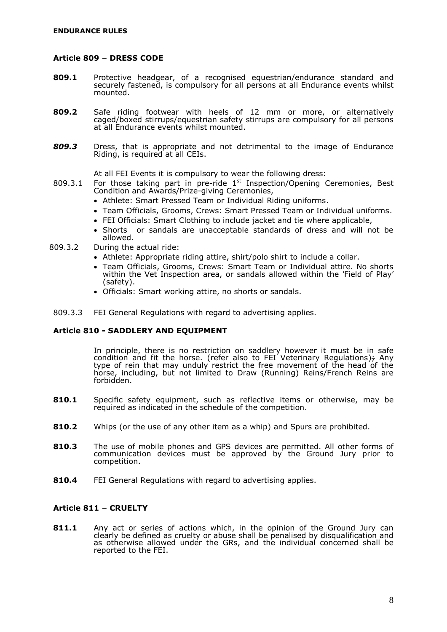#### <span id="page-9-0"></span>**Article 809 – DRESS CODE**

- **809.1** Protective headgear, of a recognised equestrian/endurance standard and securely fastened, is compulsory for all persons at all Endurance events whilst mounted.
- **809.2** Safe riding footwear with heels of 12 mm or more, or alternatively caged/boxed stirrups/equestrian safety stirrups are compulsory for all persons at all Endurance events whilst mounted.
- *809.3* Dress, that is appropriate and not detrimental to the image of Endurance Riding, is required at all CEIs.

At all FEI Events it is compulsory to wear the following dress:

- 809.3.1 For those taking part in pre-ride  $1<sup>st</sup>$  Inspection/Opening Ceremonies, Best Condition and Awards/Prize-giving Ceremonies,
	- Athlete: Smart Pressed Team or Individual Riding uniforms.
	- Team Officials, Grooms, Crews: Smart Pressed Team or Individual uniforms.
	- FEI Officials: Smart Clothing to include jacket and tie where applicable,
	- Shorts or sandals are unacceptable standards of dress and will not be allowed.
- 809.3.2 During the actual ride:
	- Athlete: Appropriate riding attire, shirt/polo shirt to include a collar.
	- Team Officials, Grooms, Crews: Smart Team or Individual attire. No shorts within the Vet Inspection area, or sandals allowed within the 'Field of Play' (safety).
	- Officials: Smart working attire, no shorts or sandals.
- <span id="page-9-1"></span>809.3.3 FEI General Regulations with regard to advertising applies.

#### **Article 810 - SADDLERY AND EQUIPMENT**

In principle, there is no restriction on saddlery however it must be in safe condition and fit the horse. (refer also to FEI Veterinary Regulations); Any type of rein that may unduly restrict the free movement of the head of the horse, including, but not limited to Draw (Running) Reins/French Reins are forbidden.

- **810.1** Specific safety equipment, such as reflective items or otherwise, may be required as indicated in the schedule of the competition.
- **810.2** Whips (or the use of any other item as a whip) and Spurs are prohibited.
- **810.3** The use of mobile phones and GPS devices are permitted. All other forms of communication devices must be approved by the Ground Jury prior to competition.
- **810.4** FEI General Regulations with regard to advertising applies.

#### <span id="page-9-2"></span>**Article 811 – CRUELTY**

**811.1** Any act or series of actions which, in the opinion of the Ground Jury can clearly be defined as cruelty or abuse shall be penalised by disqualification and as otherwise allowed under the GRs, and the individual concerned shall be reported to the FEI.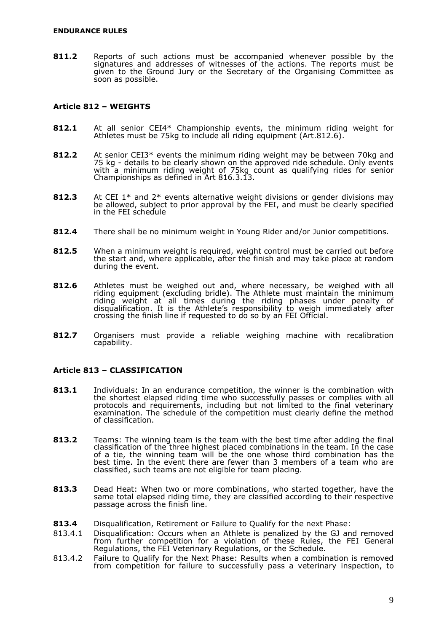**811.2** Reports of such actions must be accompanied whenever possible by the signatures and addresses of witnesses of the actions. The reports must be given to the Ground Jury or the Secretary of the Organising Committee as soon as possible.

#### <span id="page-10-0"></span>**Article 812 – WEIGHTS**

- **812.1** At all senior CEI4\* Championship events, the minimum riding weight for Athletes must be 75kg to include all riding equipment (Art.812.6).
- **812.2** At senior CEI3\* events the minimum riding weight may be between 70kg and 75 kg - details to be clearly shown on the approved ride schedule. Only events with a minimum riding weight of 75kg count as qualifying rides for senior Championships as defined in Art 816.3.13.
- **812.3** At CEI 1\* and 2\* events alternative weight divisions or gender divisions may be allowed, subject to prior approval by the FEI, and must be clearly specified in the FEI schedule
- **812.4** There shall be no minimum weight in Young Rider and/or Junior competitions.
- **812.5** When a minimum weight is required, weight control must be carried out before the start and, where applicable, after the finish and may take place at random during the event.
- **812.6** Athletes must be weighed out and, where necessary, be weighed with all riding equipment (excluding bridle). The Athlete must maintain the minimum riding weight at all times during the riding phases under penalty of disqualification. It is the Athlete's responsibility to weigh immediately after crossing the finish line if requested to do so by an FEI Official.
- **812.7** Organisers must provide a reliable weighing machine with recalibration capability.

#### <span id="page-10-1"></span>**Article 813 – CLASSIFICATION**

- **813.1** Individuals: In an endurance competition, the winner is the combination with the shortest elapsed riding time who successfully passes or complies with all protocols and requirements, including but not limited to the final veterinary examination. The schedule of the competition must clearly define the method of classification.
- **813.2** Teams: The winning team is the team with the best time after adding the final classification of the three highest placed combinations in the team. In the case of a tie, the winning team will be the one whose third combination has the best time. In the event there are fewer than 3 members of a team who are classified, such teams are not eligible for team placing.
- **813.3** Dead Heat: When two or more combinations, who started together, have the same total elapsed riding time, they are classified according to their respective passage across the finish line.
- **813.4** Disqualification, Retirement or Failure to Qualify for the next Phase:
- 813.4.1 Disqualification: Occurs when an Athlete is penalized by the GJ and removed from further competition for a violation of these Rules, the FEI General Regulations, the FEI Veterinary Regulations, or the Schedule.
- 813.4.2 Failure to Qualify for the Next Phase: Results when a combination is removed from competition for failure to successfully pass a veterinary inspection, to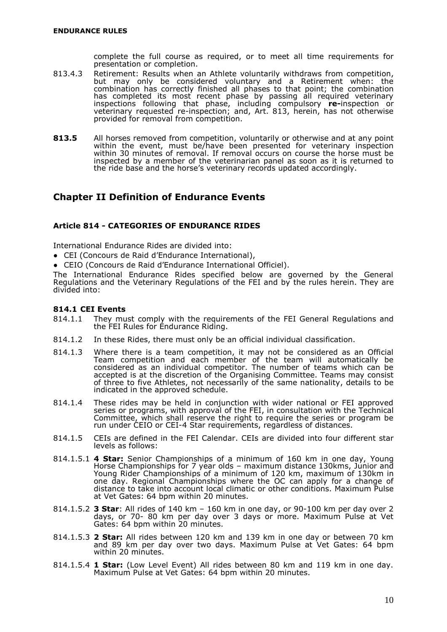complete the full course as required, or to meet all time requirements for presentation or completion.

- 813.4.3 Retirement: Results when an Athlete voluntarily withdraws from competition, but may only be considered voluntary and a Retirement when: the combination has correctly finished all phases to that point; the combination has completed its most recent phase by passing all required veterinary inspections following that phase, including compulsory **re-**inspection or veterinary requested re-inspection; and, Art. 813, herein, has not otherwise provided for removal from competition.
- **813.5** All horses removed from competition, voluntarily or otherwise and at any point within the event, must be/have been presented for veterinary inspection within 30 minutes of removal. If removal occurs on course the horse must be inspected by a member of the veterinarian panel as soon as it is returned to the ride base and the horse's veterinary records updated accordingly.

## <span id="page-11-0"></span>**Chapter II Definition of Endurance Events**

#### <span id="page-11-1"></span>**Article 814 - CATEGORIES OF ENDURANCE RIDES**

International Endurance Rides are divided into:

- CEI (Concours de Raid d'Endurance International),
- CEIO (Concours de Raid d'Endurance International Officiel).

The International Endurance Rides specified below are governed by the General Regulations and the Veterinary Regulations of the FEI and by the rules herein. They are divided into:

#### **814.1 CEI Events**

- 814.1.1 They must comply with the requirements of the FEI General Regulations and the FEI Rules for Endurance Riding.
- 814.1.2 In these Rides, there must only be an official individual classification.
- 814.1.3 Where there is a team competition, it may not be considered as an Official Team competition and each member of the team will automatically be considered as an individual competitor. The number of teams which can be accepted is at the discretion of the Organising Committee. Teams may consist of three to five Athletes, not necessarily of the same nationality, details to be indicated in the approved schedule.
- 814.1.4 These rides may be held in conjunction with wider national or FEI approved series or programs, with approval of the FEI, in consultation with the Technical Committee, which shall reserve the right to require the series or program be run under CEIO or CEI-4 Star requirements, regardless of distances.
- 814.1.5 CEIs are defined in the FEI Calendar. CEIs are divided into four different star levels as follows:
- 814.1.5.1 **4 Star:** Senior Championships of a minimum of 160 km in one day, Young Horse Championships for 7 year olds – maximum distance 130kms, Junior and Young Rider Championships of a minimum of 120 km, maximum of 130km in one day. Regional Championships where the OC can apply for a change of distance to take into account local climatic or other conditions. Maximum Pulse at Vet Gates: 64 bpm within 20 minutes.
- 814.1.5.2 **3 Star**: All rides of 140 km 160 km in one day, or 90-100 km per day over 2 days, or 70- 80 km per day over 3 days or more. Maximum Pulse at Vet Gates: 64 bpm within 20 minutes.
- 814.1.5.3 **2 Star:** All rides between 120 km and 139 km in one day or between 70 km and 89 km per day over two days. Maximum Pulse at Vet Gates: 64 bpm within 20 minutes.
- 814.1.5.4 **1 Star:** (Low Level Event) All rides between 80 km and 119 km in one day. Maximum Pulse at Vet Gates: 64 bpm within 20 minutes.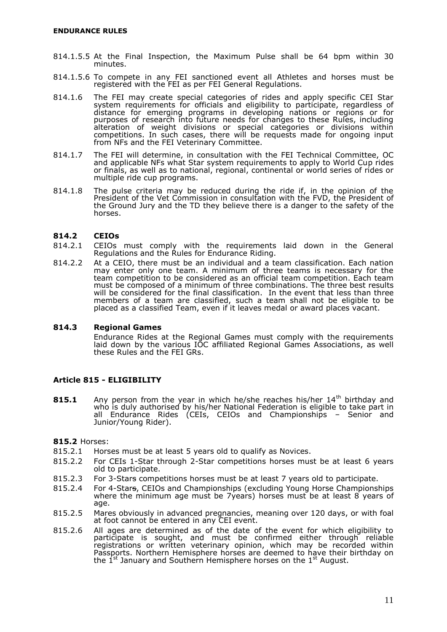- 814.1.5.5 At the Final Inspection, the Maximum Pulse shall be 64 bpm within 30 minutes.
- 814.1.5.6 To compete in any FEI sanctioned event all Athletes and horses must be registered with the FEI as per FEI General Regulations.
- 814.1.6 The FEI may create special categories of rides and apply specific CEI Star system requirements for officials and eligibility to participate, regardless of distance for emerging programs in developing nations or regions or for purposes of research into future needs for changes to these Rules, including alteration of weight divisions or special categories or divisions within competitions. In such cases, there will be requests made for ongoing input from NFs and the FEI Veterinary Committee.
- 814.1.7 The FEI will determine, in consultation with the FEI Technical Committee, OC and applicable NFs what Star system requirements to apply to World Cup rides or finals, as well as to national, regional, continental or world series of rides or multiple ride cup programs.
- 814.1.8 The pulse criteria may be reduced during the ride if, in the opinion of the President of the Vet Commission in consultation with the FVD, the President of the Ground Jury and the TD they believe there is a danger to the safety of the horses.

#### **814.2 CEIOs**

- 814.2.1 CEIOs must comply with the requirements laid down in the General Regulations and the Rules for Endurance Riding.
- 814.2.2 At a CEIO, there must be an individual and a team classification. Each nation may enter only one team. A minimum of three teams is necessary for the team competition to be considered as an official team competition. Each team must be composed of a minimum of three combinations. The three best results will be considered for the final classification. In the event that less than three members of a team are classified, such a team shall not be eligible to be placed as a classified Team, even if it leaves medal or award places vacant.

#### **814.3 Regional Games**

Endurance Rides at the Regional Games must comply with the requirements laid down by the various IOC affiliated Regional Games Associations, as well these Rules and the FEI GRs.

#### <span id="page-12-0"></span>**Article 815 - ELIGIBILITY**

**815.1** Any person from the year in which he/she reaches his/her 14<sup>th</sup> birthday and who is duly authorised by his/her National Federation is eligible to take part in all Endurance Rides (CEIs, CEIOs and Championships - Senior and Junior/Young Rider).

**815.2** Horses:

- 815.2.1 Horses must be at least 5 years old to qualify as Novices.
- 815.2.2 For CEIs 1-Star through 2-Star competitions horses must be at least 6 years old to participate.
- 815.2.3 For 3-Stars competitions horses must be at least 7 years old to participate.
- 815.2.4 For 4-Stars, CEIOs and Championships (excluding Young Horse Championships where the minimum age must be 7years) horses must be at least 8 years of age.
- 815.2.5 Mares obviously in advanced pregnancies, meaning over 120 days, or with foal at foot cannot be entered in any CEI event.
- 815.2.6 All ages are determined as of the date of the event for which eligibility to participate is sought, and must be confirmed either through reliable registrations or written veterinary opinion, which may be recorded within Passports. Northern Hemisphere horses are deemed to have their birthday on the  $1^{st}$  January and Southern Hemisphere horses on the  $1^{st}$  August.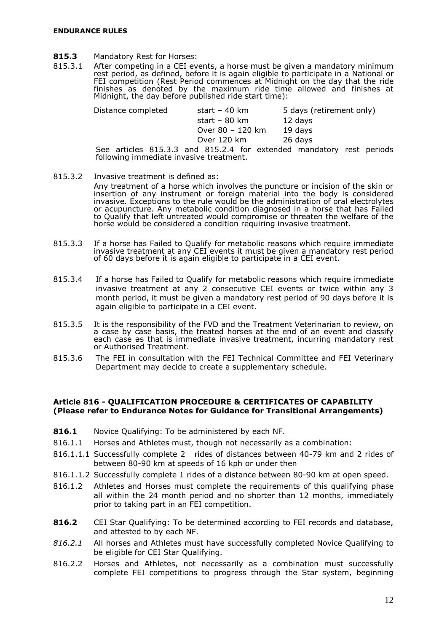- **815.3** Mandatory Rest for Horses:
- 815.3.1 After competing in a CEI events, a horse must be given a mandatory minimum rest period, as defined, before it is again eligible to participate in a National or FEI competition (Rest Period commences at Midnight on the day that the ride finishes as denoted by the maximum ride time allowed and finishes at Midnight, the day before published ride start time):

| Distance completed                                                    | start – 40 km    | 5 days (retirement only) |  |
|-----------------------------------------------------------------------|------------------|--------------------------|--|
|                                                                       | start – 80 km    | 12 days                  |  |
|                                                                       | Over 80 - 120 km | 19 days                  |  |
|                                                                       | Over 120 km      | 26 days                  |  |
| $Co2$ atticles $O1E 22$ and $O1E 24$ for outpanded mondators rest new |                  |                          |  |

See articles 815.3.3 and 815.2.4 for extended mandatory rest periods following immediate invasive treatment.

- 815.3.2 Invasive treatment is defined as: Any treatment of a horse which involves the puncture or incision of the skin or insertion of any instrument or foreign material into the body is considered invasive. Exceptions to the rule would be the administration of oral electrolytes or acupuncture. Any metabolic condition diagnosed in a horse that has Failed to Qualify that left untreated would compromise or threaten the welfare of the
- 815.3.3 If a horse has Failed to Qualify for metabolic reasons which require immediate invasive treatment at any CEI events it must be given a mandatory rest period of 60 days before it is again eligible to participate in a CEI event.

horse would be considered a condition requiring invasive treatment.

- 815.3.4 If a horse has Failed to Qualify for metabolic reasons which require immediate invasive treatment at any 2 consecutive CEI events or twice within any 3 month period, it must be given a mandatory rest period of 90 days before it is again eligible to participate in a CEI event.
- 815.3.5 It is the responsibility of the FVD and the Treatment Veterinarian to review, on a case by case basis, the treated horses at the end of an event and classify each case as that is immediate invasive treatment, incurring mandatory rest or Authorised Treatment.
- 815.3.6 The FEI in consultation with the FEI Technical Committee and FEI Veterinary Department may decide to create a supplementary schedule.

#### <span id="page-13-0"></span>**Article 816 - QUALIFICATION PROCEDURE & CERTIFICATES OF CAPABILITY (Please refer to Endurance Notes for Guidance for Transitional Arrangements)**

- **816.1** Novice Qualifying: To be administered by each NF.
- 816.1.1 Horses and Athletes must, though not necessarily as a combination:
- 816.1.1.1 Successfully complete 2 rides of distances between 40-79 km and 2 rides of between 80-90 km at speeds of 16 kph or under then
- 816.1.1.2 Successfully complete 1 rides of a distance between 80-90 km at open speed.
- 816.1.2 Athletes and Horses must complete the requirements of this qualifying phase all within the 24 month period and no shorter than 12 months, immediately prior to taking part in an FEI competition.
- **816.2** CEI Star Qualifying: To be determined according to FEI records and database, and attested to by each NF.
- *816.2.1* All horses and Athletes must have successfully completed Novice Qualifying to be eligible for CEI Star Qualifying.
- 816.2.2 Horses and Athletes, not necessarily as a combination must successfully complete FEI competitions to progress through the Star system, beginning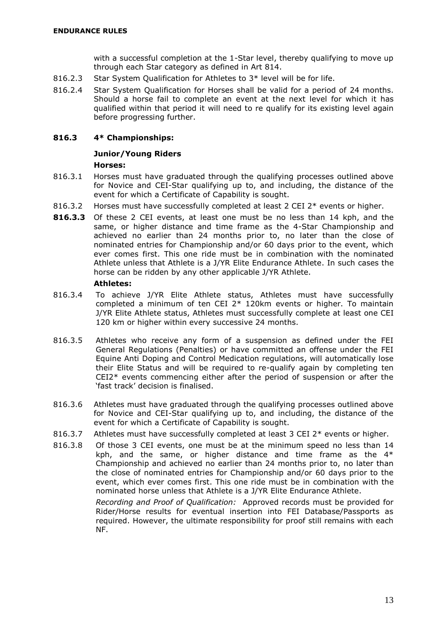with a successful completion at the 1-Star level, thereby qualifying to move up through each Star category as defined in Art 814.

- 816.2.3 Star System Qualification for Athletes to 3\* level will be for life.
- 816.2.4 Star System Qualification for Horses shall be valid for a period of 24 months. Should a horse fail to complete an event at the next level for which it has qualified within that period it will need to re qualify for its existing level again before progressing further.

#### **816.3 4\* Championships:**

## **Junior/Young Riders**

#### **Horses:**

- 816.3.1 Horses must have graduated through the qualifying processes outlined above for Novice and CEI-Star qualifying up to, and including, the distance of the event for which a Certificate of Capability is sought.
- 816.3.2 Horses must have successfully completed at least 2 CEI 2\* events or higher.
- **816.3.3** Of these 2 CEI events, at least one must be no less than 14 kph, and the same, or higher distance and time frame as the 4-Star Championship and achieved no earlier than 24 months prior to, no later than the close of nominated entries for Championship and/or 60 days prior to the event, which ever comes first. This one ride must be in combination with the nominated Athlete unless that Athlete is a J/YR Elite Endurance Athlete. In such cases the horse can be ridden by any other applicable J/YR Athlete.

#### **Athletes:**

- 816.3.4 To achieve J/YR Elite Athlete status, Athletes must have successfully completed a minimum of ten CEI 2\* 120km events or higher. To maintain J/YR Elite Athlete status, Athletes must successfully complete at least one CEI 120 km or higher within every successive 24 months.
- 816.3.5 Athletes who receive any form of a suspension as defined under the FEI General Regulations (Penalties) or have committed an offense under the FEI Equine Anti Doping and Control Medication regulations, will automatically lose their Elite Status and will be required to re-qualify again by completing ten CEI2\* events commencing either after the period of suspension or after the 'fast track' decision is finalised.
- 816.3.6 Athletes must have graduated through the qualifying processes outlined above for Novice and CEI-Star qualifying up to, and including, the distance of the event for which a Certificate of Capability is sought.
- 816.3.7 Athletes must have successfully completed at least 3 CEI  $2^*$  events or higher.
- 816.3.8 Of those 3 CEI events, one must be at the minimum speed no less than 14 kph, and the same, or higher distance and time frame as the  $4*$ Championship and achieved no earlier than 24 months prior to, no later than the close of nominated entries for Championship and/or 60 days prior to the event, which ever comes first. This one ride must be in combination with the nominated horse unless that Athlete is a J/YR Elite Endurance Athlete.

*Recording and Proof of Qualification:* Approved records must be provided for Rider/Horse results for eventual insertion into FEI Database/Passports as required. However, the ultimate responsibility for proof still remains with each NF.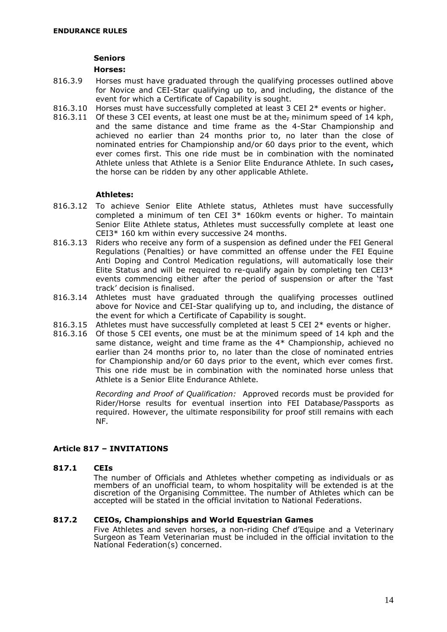#### **Seniors**

#### **Horses:**

- 816.3.9 Horses must have graduated through the qualifying processes outlined above for Novice and CEI-Star qualifying up to, and including, the distance of the event for which a Certificate of Capability is sought.
- 816.3.10 Horses must have successfully completed at least 3 CEI 2\* events or higher.
- 816.3.11 Of these 3 CEI events, at least one must be at the<sub>r</sub> minimum speed of 14 kph, and the same distance and time frame as the 4-Star Championship and achieved no earlier than 24 months prior to, no later than the close of nominated entries for Championship and/or 60 days prior to the event, which ever comes first. This one ride must be in combination with the nominated Athlete unless that Athlete is a Senior Elite Endurance Athlete. In such cases**,** the horse can be ridden by any other applicable Athlete.

#### **Athletes:**

- 816.3.12 To achieve Senior Elite Athlete status, Athletes must have successfully completed a minimum of ten CEI 3\* 160km events or higher. To maintain Senior Elite Athlete status, Athletes must successfully complete at least one CEI3\* 160 km within every successive 24 months.
- 816.3.13 Riders who receive any form of a suspension as defined under the FEI General Regulations (Penalties) or have committed an offense under the FEI Equine Anti Doping and Control Medication regulations, will automatically lose their Elite Status and will be required to re-qualify again by completing ten  $CEI3*$ events commencing either after the period of suspension or after the 'fast track' decision is finalised.
- 816.3.14 Athletes must have graduated through the qualifying processes outlined above for Novice and CEI-Star qualifying up to, and including, the distance of the event for which a Certificate of Capability is sought.
- 816.3.15 Athletes must have successfully completed at least 5 CEI  $2^*$  events or higher.
- 816.3.16 Of those 5 CEI events, one must be at the minimum speed of 14 kph and the same distance, weight and time frame as the 4\* Championship, achieved no earlier than 24 months prior to, no later than the close of nominated entries for Championship and/or 60 days prior to the event, which ever comes first. This one ride must be in combination with the nominated horse unless that Athlete is a Senior Elite Endurance Athlete.

*Recording and Proof of Qualification:* Approved records must be provided for Rider/Horse results for eventual insertion into FEI Database/Passports as required. However, the ultimate responsibility for proof still remains with each NF.

### <span id="page-15-0"></span>**Article 817 – INVITATIONS**

#### **817.1 CEIs**

The number of Officials and Athletes whether competing as individuals or as members of an unofficial team, to whom hospitality will be extended is at the discretion of the Organising Committee. The number of Athletes which can be accepted will be stated in the official invitation to National Federations.

#### **817.2 CEIOs, Championships and World Equestrian Games**

Five Athletes and seven horses, a non-riding Chef d'Equipe and a Veterinary Surgeon as Team Veterinarian must be included in the official invitation to the National Federation(s) concerned.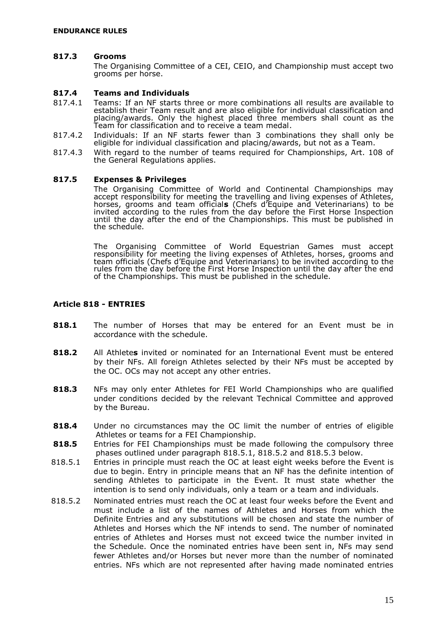#### **817.3 Grooms**

The Organising Committee of a CEI, CEIO, and Championship must accept two grooms per horse.

#### **817.4 Teams and Individuals**

- 817.4.1 Teams: If an NF starts three or more combinations all results are available to establish their Team result and are also eligible for individual classification and placing/awards. Only the highest placed three members shall count as the Team for classification and to receive a team medal.
- 817.4.2 Individuals: If an NF starts fewer than 3 combinations they shall only be eligible for individual classification and placing/awards, but not as a Team.
- 817.4.3 With regard to the number of teams required for Championships, Art. 108 of the General Regulations applies.

#### **817.5 Expenses & Privileges**

The Organising Committee of World and Continental Championships may accept responsibility for meeting the travelling and living expenses of Athletes, horses, grooms and team official**s** (Chefs d'Equipe and Veterinarians) to be invited according to the rules from the day before the First Horse Inspection until the day after the end of the Championships. This must be published in the schedule.

The Organising Committee of World Equestrian Games must accept responsibility for meeting the living expenses of Athletes, horses, grooms and team officials (Chefs d'Equipe and Veterinarians) to be invited according to the rules from the day before the First Horse Inspection until the day after the end of the Championships. This must be published in the schedule.

#### <span id="page-16-0"></span>**Article 818 - ENTRIES**

- **818.1** The number of Horses that may be entered for an Event must be in accordance with the schedule.
- **818.2** All Athlete**s** invited or nominated for an International Event must be entered by their NFs. All foreign Athletes selected by their NFs must be accepted by the OC. OCs may not accept any other entries.
- **818.3** NFs may only enter Athletes for FEI World Championships who are qualified under conditions decided by the relevant Technical Committee and approved by the Bureau.
- **818.4** Under no circumstances may the OC limit the number of entries of eligible Athletes or teams for a FEI Championship.
- **818.5** Entries for FEI Championships must be made following the compulsory three phases outlined under paragraph 818.5.1, 818.5.2 and 818.5.3 below.
- 818.5.1 Entries in principle must reach the OC at least eight weeks before the Event is due to begin. Entry in principle means that an NF has the definite intention of sending Athletes to participate in the Event. It must state whether the intention is to send only individuals, only a team or a team and individuals.
- 818.5.2 Nominated entries must reach the OC at least four weeks before the Event and must include a list of the names of Athletes and Horses from which the Definite Entries and any substitutions will be chosen and state the number of Athletes and Horses which the NF intends to send. The number of nominated entries of Athletes and Horses must not exceed twice the number invited in the Schedule. Once the nominated entries have been sent in, NFs may send fewer Athletes and/or Horses but never more than the number of nominated entries. NFs which are not represented after having made nominated entries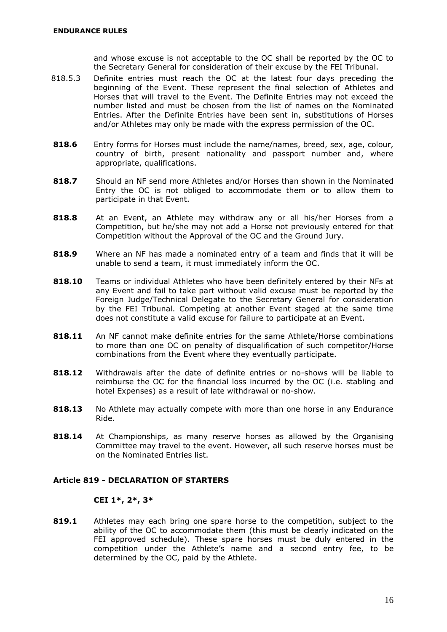and whose excuse is not acceptable to the OC shall be reported by the OC to the Secretary General for consideration of their excuse by the FEI Tribunal.

- 818.5.3 Definite entries must reach the OC at the latest four days preceding the beginning of the Event. These represent the final selection of Athletes and Horses that will travel to the Event. The Definite Entries may not exceed the number listed and must be chosen from the list of names on the Nominated Entries. After the Definite Entries have been sent in, substitutions of Horses and/or Athletes may only be made with the express permission of the OC.
- **818.6** Entry forms for Horses must include the name/names, breed, sex, age, colour, country of birth, present nationality and passport number and, where appropriate, qualifications.
- **818.7** Should an NF send more Athletes and/or Horses than shown in the Nominated Entry the OC is not obliged to accommodate them or to allow them to participate in that Event.
- **818.8** At an Event, an Athlete may withdraw any or all his/her Horses from a Competition, but he/she may not add a Horse not previously entered for that Competition without the Approval of the OC and the Ground Jury.
- **818.9** Where an NF has made a nominated entry of a team and finds that it will be unable to send a team, it must immediately inform the OC.
- **818.10** Teams or individual Athletes who have been definitely entered by their NFs at any Event and fail to take part without valid excuse must be reported by the Foreign Judge/Technical Delegate to the Secretary General for consideration by the FEI Tribunal. Competing at another Event staged at the same time does not constitute a valid excuse for failure to participate at an Event.
- **818.11** An NF cannot make definite entries for the same Athlete/Horse combinations to more than one OC on penalty of disqualification of such competitor/Horse combinations from the Event where they eventually participate.
- **818.12** Withdrawals after the date of definite entries or no-shows will be liable to reimburse the OC for the financial loss incurred by the OC (i.e. stabling and hotel Expenses) as a result of late withdrawal or no-show.
- **818.13** No Athlete may actually compete with more than one horse in any Endurance Ride.
- **818.14** At Championships, as many reserve horses as allowed by the Organising Committee may travel to the event. However, all such reserve horses must be on the Nominated Entries list.

#### <span id="page-17-0"></span>**Article 819 - DECLARATION OF STARTERS**

#### **CEI 1\*, 2\*, 3\***

**819.1** Athletes may each bring one spare horse to the competition, subject to the ability of the OC to accommodate them (this must be clearly indicated on the FEI approved schedule). These spare horses must be duly entered in the competition under the Athlete's name and a second entry fee, to be determined by the OC, paid by the Athlete.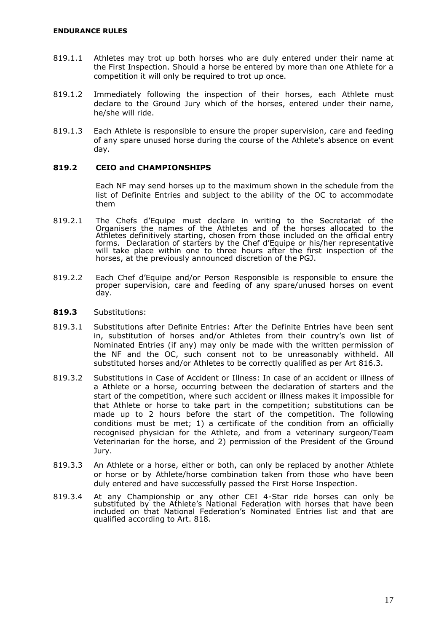- 819.1.1 Athletes may trot up both horses who are duly entered under their name at the First Inspection. Should a horse be entered by more than one Athlete for a competition it will only be required to trot up once.
- 819.1.2 Immediately following the inspection of their horses, each Athlete must declare to the Ground Jury which of the horses, entered under their name, he/she will ride.
- 819.1.3 Each Athlete is responsible to ensure the proper supervision, care and feeding of any spare unused horse during the course of the Athlete's absence on event day.

#### **819.2 CEIO and CHAMPIONSHIPS**

Each NF may send horses up to the maximum shown in the schedule from the list of Definite Entries and subject to the ability of the OC to accommodate them

- 819.2.1 The Chefs d'Equipe must declare in writing to the Secretariat of the Organisers the names of the Athletes and of the horses allocated to the Athletes definitively starting, chosen from those included on the official entry forms. Declaration of starters by the Chef d'Equipe or his/her representative will take place within one to three hours after the first inspection of the horses, at the previously announced discretion of the PGJ.
- 819.2.2 Each Chef d'Equipe and/or Person Responsible is responsible to ensure the proper supervision, care and feeding of any spare/unused horses on event day.
- **819.3** Substitutions:
- 819.3.1 Substitutions after Definite Entries: After the Definite Entries have been sent in, substitution of horses and/or Athletes from their country's own list of Nominated Entries (if any) may only be made with the written permission of the NF and the OC, such consent not to be unreasonably withheld. All substituted horses and/or Athletes to be correctly qualified as per Art 816.3.
- 819.3.2 Substitutions in Case of Accident or Illness: In case of an accident or illness of a Athlete or a horse, occurring between the declaration of starters and the start of the competition, where such accident or illness makes it impossible for that Athlete or horse to take part in the competition; substitutions can be made up to 2 hours before the start of the competition. The following conditions must be met; 1) a certificate of the condition from an officially recognised physician for the Athlete, and from a veterinary surgeon/Team Veterinarian for the horse, and 2) permission of the President of the Ground Jury.
- 819.3.3 An Athlete or a horse, either or both, can only be replaced by another Athlete or horse or by Athlete/horse combination taken from those who have been duly entered and have successfully passed the First Horse Inspection.
- <span id="page-18-0"></span>819.3.4 At any Championship or any other CEI 4-Star ride horses can only be substituted by the Athlete's National Federation with horses that have been included on that National Federation's Nominated Entries list and that are qualified according to Art. 818.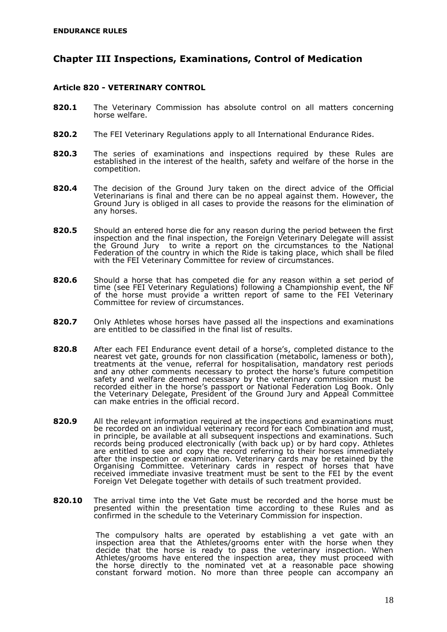## **Chapter III Inspections, Examinations, Control of Medication**

#### <span id="page-19-0"></span>**Article 820 - VETERINARY CONTROL**

- **820.1** The Veterinary Commission has absolute control on all matters concerning horse welfare.
- **820.2** The FEI Veterinary Regulations apply to all International Endurance Rides.
- **820.3** The series of examinations and inspections required by these Rules are established in the interest of the health, safety and welfare of the horse in the competition.
- **820.4** The decision of the Ground Jury taken on the direct advice of the Official Veterinarians is final and there can be no appeal against them. However, the Ground Jury is obliged in all cases to provide the reasons for the elimination of any horses.
- **820.5** Should an entered horse die for any reason during the period between the first inspection and the final inspection, the Foreign Veterinary Delegate will assist the Ground Jury to write a report on the circumstances to the National Federation of the country in which the Ride is taking place, which shall be filed with the FEI Veterinary Committee for review of circumstances.
- **820.6** Should a horse that has competed die for any reason within a set period of time (see FEI Veterinary Regulations) following a Championship event, the NF of the horse must provide a written report of same to the FEI Veterinary Committee for review of circumstances.
- **820.7** Only Athletes whose horses have passed all the inspections and examinations are entitled to be classified in the final list of results.
- **820.8** After each FEI Endurance event detail of a horse's, completed distance to the nearest vet gate, grounds for non classification (metabolic, lameness or both), treatments at the venue, referral for hospitalisation, mandatory rest periods and any other comments necessary to protect the horse's future competition safety and welfare deemed necessary by the veterinary commission must be recorded either in the horse's passport or National Federation Log Book. Only the Veterinary Delegate, President of the Ground Jury and Appeal Committee can make entries in the official record.
- **820.9** All the relevant information required at the inspections and examinations must be recorded on an individual veterinary record for each Combination and must, in principle, be available at all subsequent inspections and examinations. Such records being produced electronically (with back up) or by hard copy. Athletes are entitled to see and copy the record referring to their horses immediately after the inspection or examination. Veterinary cards may be retained by the Organising Committee. Veterinary cards in respect of horses that have received immediate invasive treatment must be sent to the FEI by the event Foreign Vet Delegate together with details of such treatment provided.
- **820.10** The arrival time into the Vet Gate must be recorded and the horse must be presented within the presentation time according to these Rules and as confirmed in the schedule to the Veterinary Commission for inspection.

The compulsory halts are operated by establishing a vet gate with an inspection area that the Athletes/grooms enter with the horse when they decide that the horse is ready to pass the veterinary inspection. When Athletes/grooms have entered the inspection area, they must proceed with the horse directly to the nominated vet at a reasonable pace showing constant forward motion. No more than three people can accompany an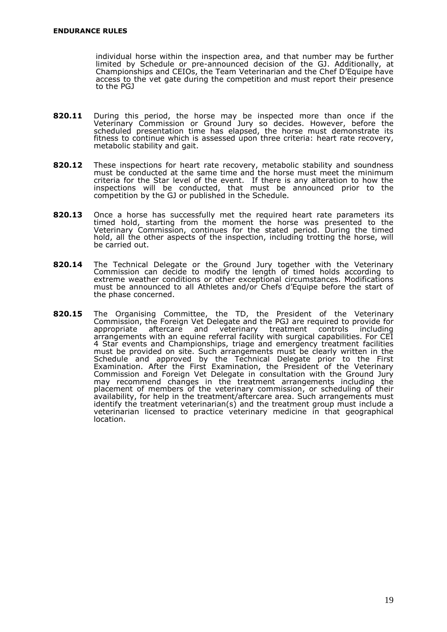individual horse within the inspection area, and that number may be further limited by Schedule or pre-announced decision of the GJ. Additionally, at Championships and CEIOs, the Team Veterinarian and the Chef D'Equipe have access to the vet gate during the competition and must report their presence to the PGJ

- **820.11** During this period, the horse may be inspected more than once if the Veterinary Commission or Ground Jury so decides. However, before the scheduled presentation time has elapsed, the horse must demonstrate its fitness to continue which is assessed upon three criteria: heart rate recovery, metabolic stability and gait.
- **820.12** These inspections for heart rate recovery, metabolic stability and soundness must be conducted at the same time and the horse must meet the minimum criteria for the Star level of the event. If there is any alteration to how the inspections will be conducted, that must be announced prior to the competition by the GJ or published in the Schedule.
- **820.13** Once a horse has successfully met the required heart rate parameters its timed hold, starting from the moment the horse was presented to the Veterinary Commission, continues for the stated period. During the timed hold, all the other aspects of the inspection, including trotting the horse, will be carried out.
- **820.14** The Technical Delegate or the Ground Jury together with the Veterinary Commission can decide to modify the length of timed holds according to extreme weather conditions or other exceptional circumstances. Modifications must be announced to all Athletes and/or Chefs d'Equipe before the start of the phase concerned.
- **820.15** The Organising Committee, the TD, the President of the Veterinary Commission, the Foreign Vet Delegate and the PGJ are required to provide for appropriate aftercare and veterinary treatment controls including arrangements with an equine referral facility with surgical capabilities. For CEI 4 Star events and Championships, triage and emergency treatment facilities must be provided on site. Such arrangements must be clearly written in the Schedule and approved by the Technical Delegate prior to the First Examination. After the First Examination, the President of the Veterinary Commission and Foreign Vet Delegate in consultation with the Ground Jury may recommend changes in the treatment arrangements including the placement of members of the veterinary commission, or scheduling of their availability, for help in the treatment/aftercare area. Such arrangements must identify the treatment veterinarian(s) and the treatment group must include a veterinarian licensed to practice veterinary medicine in that geographical location.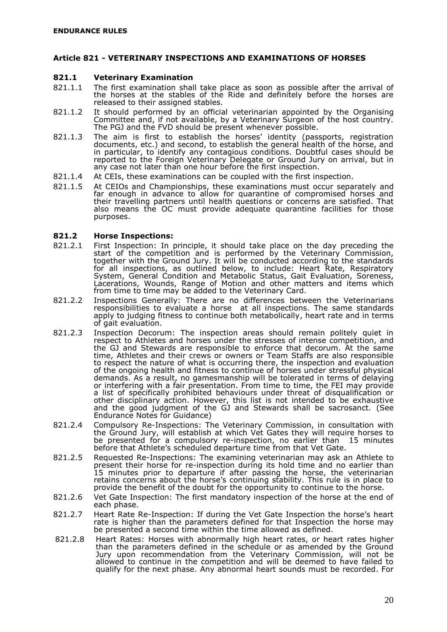#### <span id="page-21-0"></span>**Article 821 - VETERINARY INSPECTIONS AND EXAMINATIONS OF HORSES**

#### **821.1 Veterinary Examination**

- 821.1.1 The first examination shall take place as soon as possible after the arrival of the horses at the stables of the Ride and definitely before the horses are released to their assigned stables.
- 821.1.2 It should performed by an official veterinarian appointed by the Organising Committee and, if not available, by a Veterinary Surgeon of the host country. The PGJ and the FVD should be present whenever possible.
- 821.1.3 The aim is first to establish the horses' identity (passports, registration documents, etc.) and second, to establish the general health of the horse, and in particular, to identify any contagious conditions. Doubtful cases should be reported to the Foreign Veterinary Delegate or Ground Jury on arrival, but in any case not later than one hour before the first inspection.
- 821.1.4 At CEIs, these examinations can be coupled with the first inspection.
- 821.1.5 At CEIOs and Championships, these examinations must occur separately and far enough in advance to allow for quarantine of compromised horses and their travelling partners until health questions or concerns are satisfied. That also means the OC must provide adequate quarantine facilities for those purposes.

#### **821.2 Horse Inspections:**

- 821.2.1 First Inspection: In principle, it should take place on the day preceding the start of the competition and is performed by the Veterinary Commission, together with the Ground Jury. It will be conducted according to the standards for all inspections, as outlined below, to include: Heart Rate, Respiratory System, General Condition and Metabolic Status, Gait Evaluation, Soreness, Lacerations, Wounds, Range of Motion and other matters and items which from time to time may be added to the Veterinary Card.
- 821.2.2 Inspections Generally: There are no differences between the Veterinarians responsibilities to evaluate a horse at all inspections. The same standards apply to judging fitness to continue both metabolically, heart rate and in terms of gait evaluation.
- 821.2.3 Inspection Decorum: The inspection areas should remain politely quiet in respect to Athletes and horses under the stresses of intense competition, and the GJ and Stewards are responsible to enforce that decorum. At the same time, Athletes and their crews or owners or Team Staffs are also responsible to respect the nature of what is occurring there, the inspection and evaluation of the ongoing health and fitness to continue of horses under stressful physical demands. As a result, no gamesmanship will be tolerated in terms of delaying or interfering with a fair presentation. From time to time, the FEI may provide a list of specifically prohibited behaviours under threat of disqualification or other disciplinary action. However, this list is not intended to be exhaustive and the good judgment of the GJ and Stewards shall be sacrosanct. (See Endurance Notes for Guidance)
- 821.2.4 Compulsory Re-Inspections: The Veterinary Commission, in consultation with the Ground Jury, will establish at which Vet Gates they will require horses to be presented for a compulsory re-inspection, no earlier than 15 minutes before that Athlete's scheduled departure time from that Vet Gate.
- 821.2.5 Requested Re-Inspections: The examining veterinarian may ask an Athlete to present their horse for re-inspection during its hold time and no earlier than 15 minutes prior to departure if after passing the horse, the veterinarian retains concerns about the horse's continuing stability. This rule is in place to provide the benefit of the doubt for the opportunity to continue to the horse.
- 821.2.6 Vet Gate Inspection: The first mandatory inspection of the horse at the end of each phase.
- 821.2.7 Heart Rate Re-Inspection: If during the Vet Gate Inspection the horse's heart rate is higher than the parameters defined for that Inspection the horse may be presented a second time within the time allowed as defined.
- 821.2.8 Heart Rates: Horses with abnormally high heart rates, or heart rates higher than the parameters defined in the schedule or as amended by the Ground Jury upon recommendation from the Veterinary Commission, will not be allowed to continue in the competition and will be deemed to have failed to qualify for the next phase. Any abnormal heart sounds must be recorded. For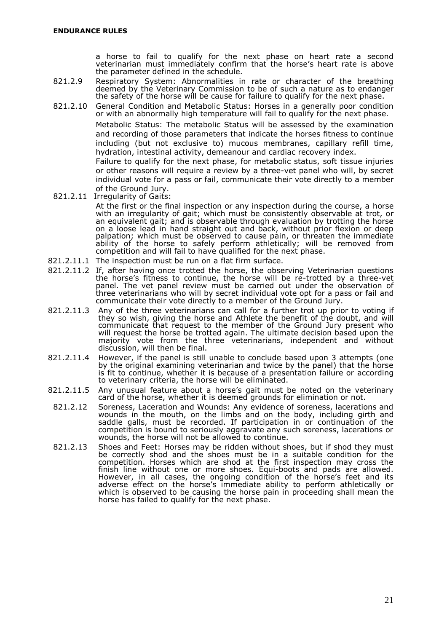a horse to fail to qualify for the next phase on heart rate a second veterinarian must immediately confirm that the horse's heart rate is above the parameter defined in the schedule.

- 821.2.9 Respiratory System: Abnormalities in rate or character of the breathing deemed by the Veterinary Commission to be of such a nature as to endanger the safety of the horse will be cause for failure to qualify for the next phase.
- 821.2.10 General Condition and Metabolic Status: Horses in a generally poor condition or with an abnormally high temperature will fail to qualify for the next phase.

Metabolic Status: The metabolic Status will be assessed by the examination and recording of those parameters that indicate the horses fitness to continue including (but not exclusive to) mucous membranes, capillary refill time, hydration, intestinal activity, demeanour and cardiac recovery index.

Failure to qualify for the next phase, for metabolic status, soft tissue injuries or other reasons will require a review by a three-vet panel who will, by secret individual vote for a pass or fail, communicate their vote directly to a member of the Ground Jury.

- 821.2.11 Irregularity of Gaits: At the first or the final inspection or any inspection during the course, a horse with an irregularity of gait; which must be consistently observable at trot, or an equivalent gait; and is observable through evaluation by trotting the horse on a loose lead in hand straight out and back, without prior flexion or deep palpation; which must be observed to cause pain, or threaten the immediate ability of the horse to safely perform athletically; will be removed from competition and will fail to have qualified for the next phase.
- 821.2.11.1 The inspection must be run on a flat firm surface.
- 821.2.11.2 If, after having once trotted the horse, the observing Veterinarian questions the horse's fitness to continue, the horse will be re-trotted by a three-vet panel. The vet panel review must be carried out under the observation of three veterinarians who will by secret individual vote opt for a pass or fail and communicate their vote directly to a member of the Ground Jury.
- 821.2.11.3 Any of the three veterinarians can call for a further trot up prior to voting if they so wish, giving the horse and Athlete the benefit of the doubt, and will communicate that request to the member of the Ground Jury present who will request the horse be trotted again. The ultimate decision based upon the majority vote from the three veterinarians, independent and without discussion, will then be final.
- 821.2.11.4 However, if the panel is still unable to conclude based upon 3 attempts (one by the original examining veterinarian and twice by the panel) that the horse is fit to continue, whether it is because of a presentation failure or according to veterinary criteria, the horse will be eliminated.
- 821.2.11.5 Any unusual feature about a horse's gait must be noted on the veterinary card of the horse, whether it is deemed grounds for elimination or not.
- 821.2.12 Soreness, Laceration and Wounds: Any evidence of soreness, lacerations and wounds in the mouth, on the limbs and on the body, including girth and saddle galls, must be recorded. If participation in or continuation of the competition is bound to seriously aggravate any such soreness, lacerations or wounds, the horse will not be allowed to continue.
- 821.2.13 Shoes and Feet: Horses may be ridden without shoes, but if shod they must be correctly shod and the shoes must be in a suitable condition for the competition. Horses which are shod at the first inspection may cross the finish line without one or more shoes. Equi-boots and pads are allowed. However, in all cases, the ongoing condition of the horse's feet and its adverse effect on the horse's immediate ability to perform athletically or which is observed to be causing the horse pain in proceeding shall mean the horse has failed to qualify for the next phase.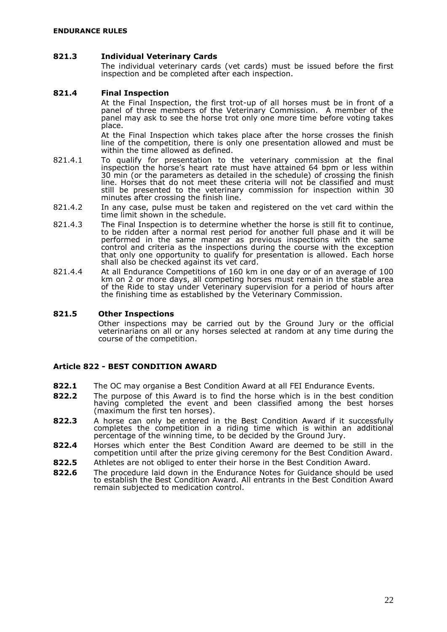#### **821.3 Individual Veterinary Cards**

The individual veterinary cards (vet cards) must be issued before the first inspection and be completed after each inspection.

#### **821.4 Final Inspection**

At the Final Inspection, the first trot-up of all horses must be in front of a panel of three members of the Veterinary Commission. A member of the panel may ask to see the horse trot only one more time before voting takes place.

At the Final Inspection which takes place after the horse crosses the finish line of the competition, there is only one presentation allowed and must be within the time allowed as defined.

- 821.4.1 To qualify for presentation to the veterinary commission at the final inspection the horse's heart rate must have attained 64 bpm or less within 30 min (or the parameters as detailed in the schedule) of crossing the finish line. Horses that do not meet these criteria will not be classified and must still be presented to the veterinary commission for inspection within 30 minutes after crossing the finish line.
- 821.4.2 In any case, pulse must be taken and registered on the vet card within the time limit shown in the schedule.
- 821.4.3 The Final Inspection is to determine whether the horse is still fit to continue, to be ridden after a normal rest period for another full phase and it will be performed in the same manner as previous inspections with the same control and criteria as the inspections during the course with the exception that only one opportunity to qualify for presentation is allowed. Each horse shall also be checked against its vet card.
- 821.4.4 At all Endurance Competitions of 160 km in one day or of an average of 100 km on 2 or more days, all competing horses must remain in the stable area of the Ride to stay under Veterinary supervision for a period of hours after the finishing time as established by the Veterinary Commission.

#### **821.5 Other Inspections**

Other inspections may be carried out by the Ground Jury or the official veterinarians on all or any horses selected at random at any time during the course of the competition.

#### <span id="page-23-0"></span>**Article 822 - BEST CONDITION AWARD**

- **822.1** The OC may organise a Best Condition Award at all FEI Endurance Events.
- **822.2** The purpose of this Award is to find the horse which is in the best condition having completed the event and been classified among the best horses (maximum the first ten horses).
- **822.3** A horse can only be entered in the Best Condition Award if it successfully completes the competition in a riding time which is within an additional percentage of the winning time, to be decided by the Ground Jury.
- **822.4** Horses which enter the Best Condition Award are deemed to be still in the competition until after the prize giving ceremony for the Best Condition Award.
- **822.5** Athletes are not obliged to enter their horse in the Best Condition Award.
- **822.6** The procedure laid down in the Endurance Notes for Guidance should be used to establish the Best Condition Award. All entrants in the Best Condition Award remain subjected to medication control.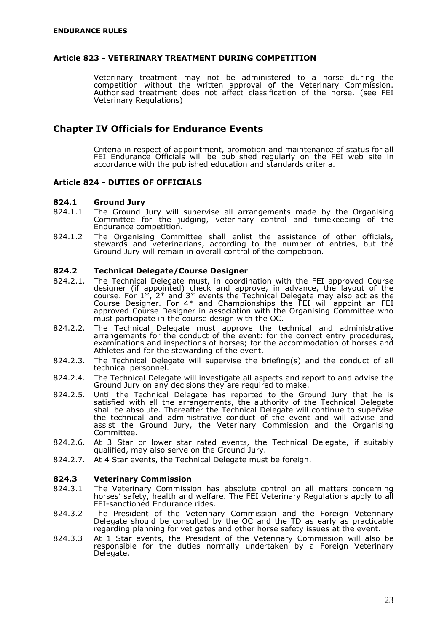#### <span id="page-24-0"></span>**Article 823 - VETERINARY TREATMENT DURING COMPETITION**

Veterinary treatment may not be administered to a horse during the competition without the written approval of the Veterinary Commission. Authorised treatment does not affect classification of the horse. (see FEI Veterinary Regulations)

### <span id="page-24-1"></span>**Chapter IV Officials for Endurance Events**

Criteria in respect of appointment, promotion and maintenance of status for all FEI Endurance Officials will be published regularly on the FEI web site in accordance with the published education and standards criteria.

#### <span id="page-24-2"></span>**Article 824 - DUTIES OF OFFICIALS**

#### **824.1 Ground Jury**

- 824.1.1 The Ground Jury will supervise all arrangements made by the Organising Committee for the judging, veterinary control and timekeeping of the Endurance competition.
- 824.1.2 The Organising Committee shall enlist the assistance of other officials, stewards and veterinarians, according to the number of entries, but the Ground Jury will remain in overall control of the competition.

#### **824.2 Technical Delegate/Course Designer**

- 824.2.1. The Technical Delegate must, in coordination with the FEI approved Course designer (if appointed) check and approve, in advance, the layout of the course. For  $1^*$ ,  $2^*$  and  $3^*$  events the Technical Delegate may also act as the Course Designer. For 4\* and Championships the FEI will appoint an FEI approved Course Designer in association with the Organising Committee who must participate in the course design with the OC.
- 824.2.2. The Technical Delegate must approve the technical and administrative arrangements for the conduct of the event: for the correct entry procedures, examinations and inspections of horses; for the accommodation of horses and Athletes and for the stewarding of the event.
- 824.2.3. The Technical Delegate will supervise the briefing(s) and the conduct of all technical personnel.
- 824.2.4. The Technical Delegate will investigate all aspects and report to and advise the Ground Jury on any decisions they are required to make.
- 824.2.5. Until the Technical Delegate has reported to the Ground Jury that he is satisfied with all the arrangements, the authority of the Technical Delegate shall be absolute. Thereafter the Technical Delegate will continue to supervise the technical and administrative conduct of the event and will advise and assist the Ground Jury, the Veterinary Commission and the Organising Committee.
- 824.2.6. At 3 Star or lower star rated events, the Technical Delegate, if suitably qualified, may also serve on the Ground Jury.
- 824.2.7. At 4 Star events, the Technical Delegate must be foreign.

#### **824.3 Veterinary Commission**

- 824.3.1 The Veterinary Commission has absolute control on all matters concerning horses' safety, health and welfare. The FEI Veterinary Regulations apply to all FEI-sanctioned Endurance rides.
- 824.3.2 The President of the Veterinary Commission and the Foreign Veterinary Delegate should be consulted by the OC and the TD as early as practicable regarding planning for vet gates and other horse safety issues at the event.
- 824.3.3 At 1 Star events, the President of the Veterinary Commission will also be responsible for the duties normally undertaken by a Foreign Veterinary Delegate.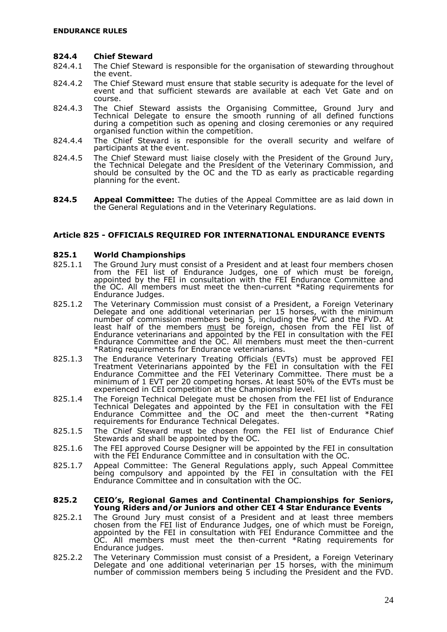#### **824.4 Chief Steward**

- 824.4.1 The Chief Steward is responsible for the organisation of stewarding throughout the event.
- 824.4.2 The Chief Steward must ensure that stable security is adequate for the level of event and that sufficient stewards are available at each Vet Gate and on course.
- 824.4.3 The Chief Steward assists the Organising Committee, Ground Jury and Technical Delegate to ensure the smooth running of all defined functions during a competition such as opening and closing ceremonies or any required organised function within the competition.
- 824.4.4 The Chief Steward is responsible for the overall security and welfare of participants at the event.
- 824.4.5 The Chief Steward must liaise closely with the President of the Ground Jury, the Technical Delegate and the President of the Veterinary Commission, and should be consulted by the OC and the TD as early as practicable regarding planning for the event.
- **824.5 Appeal Committee:** The duties of the Appeal Committee are as laid down in the General Regulations and in the Veterinary Regulations.

#### <span id="page-25-0"></span>**Article 825 - OFFICIALS REQUIRED FOR INTERNATIONAL ENDURANCE EVENTS**

#### **825.1 World Championships**

- 825.1.1 The Ground Jury must consist of a President and at least four members chosen from the FEI list of Endurance Judges, one of which must be foreign, appointed by the FEI in consultation with the FEI Endurance Committee and the OC. All members must meet the then-current \*Rating requirements for Endurance Judges.
- 825.1.2 The Veterinary Commission must consist of a President, a Foreign Veterinary Delegate and one additional veterinarian per 15 horses, with the minimum number of commission members being 5, including the PVC and the FVD. At least half of the members <u>must</u> be foreign, chosen from the FEI list of Endurance veterinarians and appointed by the FEI in consultation with the FEI Endurance Committee and the OC. All members must meet the then-current \*Rating requirements for Endurance veterinarians.
- 825.1.3 The Endurance Veterinary Treating Officials (EVTs) must be approved FEI Treatment Veterinarians appointed by the FEI in consultation with the FEI Endurance Committee and the FEI Veterinary Committee. There must be a minimum of 1 EVT per 20 competing horses. At least 50% of the EVTs must be experienced in CEI competition at the Championship level.
- 825.1.4 The Foreign Technical Delegate must be chosen from the FEI list of Endurance Technical Delegates and appointed by the FEI in consultation with the FEI Endurance Committee and the OC and meet the then-current \*Rating requirements for Endurance Technical Delegates.
- 825.1.5 The Chief Steward must be chosen from the FEI list of Endurance Chief Stewards and shall be appointed by the OC.
- 825.1.6 The FEI approved Course Designer will be appointed by the FEI in consultation with the FEI Endurance Committee and in consultation with the OC.
- 825.1.7 Appeal Committee: The General Regulations apply, such Appeal Committee being compulsory and appointed by the FEI in consultation with the FEI Endurance Committee and in consultation with the OC.

#### **825.2 CEIO's, Regional Games and Continental Championships for Seniors, Young Riders and/or Juniors and other CEI 4 Star Endurance Events**

- 825.2.1 The Ground Jury must consist of a President and at least three members chosen from the FEI list of Endurance Judges, one of which must be Foreign, appointed by the FEI in consultation with FEI Endurance Committee and the OC. All members must meet the then-current \*Rating requirements for Endurance judges.
- 825.2.2 The Veterinary Commission must consist of a President, a Foreign Veterinary Delegate and one additional veterinarian per 15 horses, with the minimum number of commission members being 5 including the President and the FVD.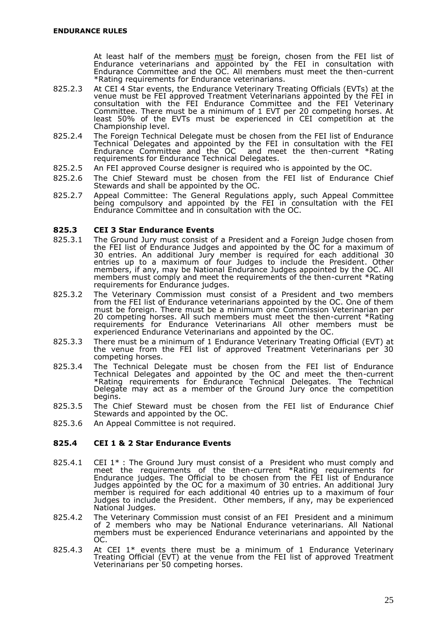At least half of the members <u>must</u> be foreign, chosen from the FEI list of Endurance veterinarians and appointed by the FEI in consultation with Endurance Committee and the OC. All members must meet the then-current \*Rating requirements for Endurance veterinarians.

- 825.2.3 At CEI 4 Star events, the Endurance Veterinary Treating Officials (EVTs) at the venue must be FEI approved Treatment Veterinarians appointed by the FEI in consultation with the FEI Endurance Committee and the FEI Veterinary Committee. There must be a minimum of 1 EVT per 20 competing horses. At least 50% of the EVTs must be experienced in CEI competition at the Championship level.
- 825.2.4 The Foreign Technical Delegate must be chosen from the FEI list of Endurance Technical Delegates and appointed by the FEI in consultation with the FEI Endurance Committee and the OC and meet the then-current \*Rating requirements for Endurance Technical Delegates.
- 825.2.5 An FEI approved Course designer is required who is appointed by the OC.
- 825.2.6 The Chief Steward must be chosen from the FEI list of Endurance Chief Stewards and shall be appointed by the OC.
- 825.2.7 Appeal Committee: The General Regulations apply, such Appeal Committee being compulsory and appointed by the FEI in consultation with the FEI Endurance Committee and in consultation with the OC.

#### **825.3 CEI 3 Star Endurance Events**

- 825.3.1 The Ground Jury must consist of a President and a Foreign Judge chosen from the FEI list of Endurance Judges and appointed by the OC for a maximum of 30 entries. An additional Jury member is required for each additional 30 entries up to a maximum of four Judges to include the President. Other members, if any, may be National Endurance Judges appointed by the OC. All members must comply and meet the requirements of the then-current \*Rating requirements for Endurance judges.
- 825.3.2 The Veterinary Commission must consist of a President and two members from the FEI list of Endurance veterinarians appointed by the OC. One of them must be foreign. There must be a minimum one Commission Veterinarian per 20 competing horses. All such members must meet the then-current \*Rating requirements for Endurance Veterinarians All other members must be experienced Endurance Veterinarians and appointed by the OC.
- 825.3.3 There must be a minimum of 1 Endurance Veterinary Treating Official (EVT) at the venue from the FEI list of approved Treatment Veterinarians per 30 competing horses.
- 825.3.4 The Technical Delegate must be chosen from the FEI list of Endurance Technical Delegates and appointed by the OC and meet the then-current \*Rating requirements for Endurance Technical Delegates. The Technical Delegate may act as a member of the Ground Jury once the competition begins.
- 825.3.5 The Chief Steward must be chosen from the FEI list of Endurance Chief Stewards and appointed by the OC.
- 825.3.6 An Appeal Committee is not required.

#### **825.4 CEI 1 & 2 Star Endurance Events**

- 825.4.1 CEI  $1*$ : The Ground Jury must consist of a President who must comply and meet the requirements of the then-current \*Rating requirements for Endurance judges. The Official to be chosen from the FEI list of Endurance Judges appointed by the OC for a maximum of 30 entries. An additional Jury member is required for each additional 40 entries up to a maximum of four Judges to include the President. Other members, if any, may be experienced National Judges.
- 825.4.2 The Veterinary Commission must consist of an FEI President and a minimum of 2 members who may be National Endurance veterinarians. All National members must be experienced Endurance veterinarians and appointed by the OC.
- 825.4.3 At CEI 1\* events there must be a minimum of 1 Endurance Veterinary Treating Official (EVT) at the venue from the FEI list of approved Treatment Veterinarians per 50 competing horses.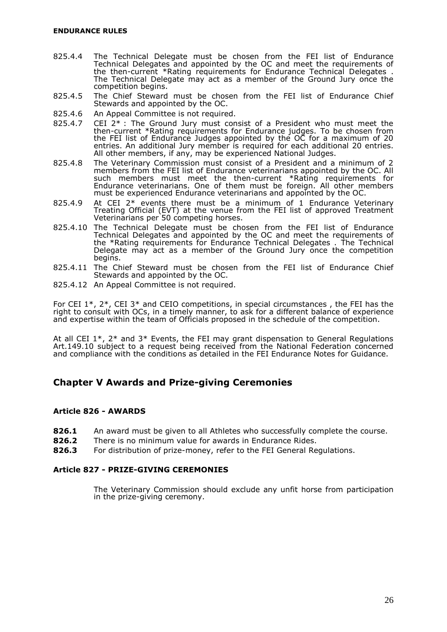- 825.4.4 The Technical Delegate must be chosen from the FEI list of Endurance Technical Delegates and appointed by the OC and meet the requirements of the then-current \*Rating requirements for Endurance Technical Delegates . The Technical Delegate may act as a member of the Ground Jury once the competition begins.
- 825.4.5 The Chief Steward must be chosen from the FEI list of Endurance Chief Stewards and appointed by the OC.
- 825.4.6 An Appeal Committee is not required.
- 825.4.7 CEI 2\* : The Ground Jury must consist of a President who must meet the then-current \*Rating requirements for Endurance judges. To be chosen from the FEI list of Endurance Judges appointed by the OC for a maximum of 20 entries. An additional Jury member is required for each additional 20 entries. All other members, if any, may be experienced National Judges.
- 825.4.8 The Veterinary Commission must consist of a President and a minimum of 2 members from the FEI list of Endurance veterinarians appointed by the OC. All such members must meet the then-current \*Rating requirements for Endurance veterinarians. One of them must be foreign. All other members must be experienced Endurance veterinarians and appointed by the OC.
- 825.4.9 At CEI 2\* events there must be a minimum of 1 Endurance Veterinary Treating Official (EVT) at the venue from the FEI list of approved Treatment Veterinarians per 50 competing horses.
- 825.4.10 The Technical Delegate must be chosen from the FEI list of Endurance Technical Delegates and appointed by the OC and meet the requirements of the \*Rating requirements for Endurance Technical Delegates . The Technical Delegate may act as a member of the Ground Jury once the competition begins.
- 825.4.11 The Chief Steward must be chosen from the FEI list of Endurance Chief Stewards and appointed by the OC.
- 825.4.12 An Appeal Committee is not required.

For CEI 1\*, 2\*, CEI 3\* and CEIO competitions, in special circumstances , the FEI has the right to consult with OCs, in a timely manner, to ask for a different balance of experience and expertise within the team of Officials proposed in the schedule of the competition.

At all CEI 1\*, 2\* and 3\* Events, the FEI may grant dispensation to General Regulations Art.149.10 subject to a request being received from the National Federation concerned and compliance with the conditions as detailed in the FEI Endurance Notes for Guidance.

## <span id="page-27-0"></span>**Chapter V Awards and Prize-giving Ceremonies**

#### <span id="page-27-1"></span>**Article 826 - AWARDS**

- **826.1** An award must be given to all Athletes who successfully complete the course.
- **826.2** There is no minimum value for awards in Endurance Rides.
- **826.3** For distribution of prize-money, refer to the FEI General Regulations.

#### **Article 827 - PRIZE-GIVING CEREMONIES**

<span id="page-27-2"></span>The Veterinary Commission should exclude any unfit horse from participation in the prize-giving ceremony.